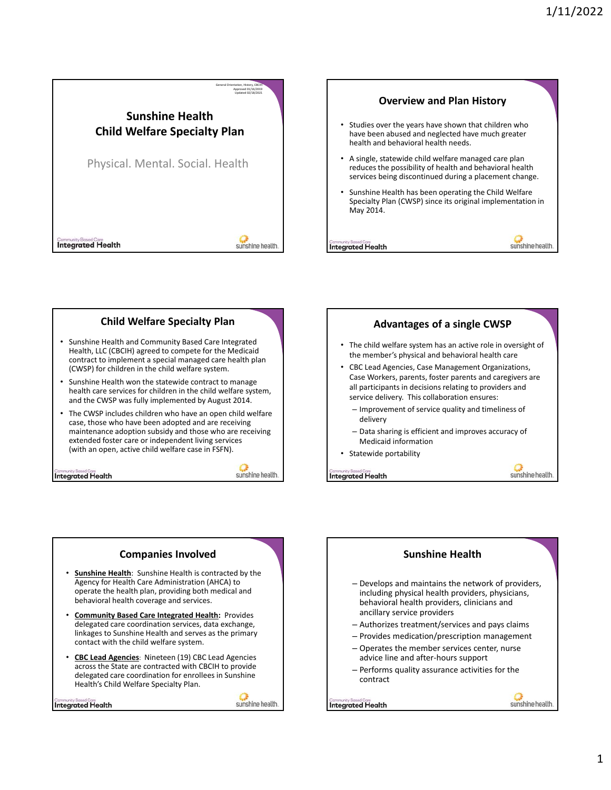



# **Child Welfare Specialty Plan**

- Sunshine Health and Community Based Care Integrated Health, LLC (CBCIH) agreed to compete for the Medicaid contract to implement a special managed care health plan (CWSP) for children in the child welfare system.
- Sunshine Health won the statewide contract to manage health care services for children in the child welfare system, and the CWSP was fully implemented by August 2014.
- The CWSP includes children who have an open child welfare case, those who have been adopted and are receiving maintenance adoption subsidy and those who are receiving extended foster care or independent living services (with an open, active child welfare case in FSFN).

**Integrated Health** 

## sunshine health.



**Integrated Health** 

## **Companies Involved** • **Sunshine Health**: Sunshine Health is contracted by the Agency for Health Care Administration (AHCA) to operate the health plan, providing both medical and behavioral health coverage and services. • **Community Based Care Integrated Health:** Provides delegated care coordination services, data exchange, linkages to Sunshine Health and serves as the primary contact with the child welfare system. • **CBC Lead Agencies**: Nineteen (19) CBC Lead Agencies across the State are contracted with CBCIH to provide delegated care coordination for enrollees in Sunshine Health's Child Welfare Specialty Plan.

**Integrated Health** 

sunshine health.

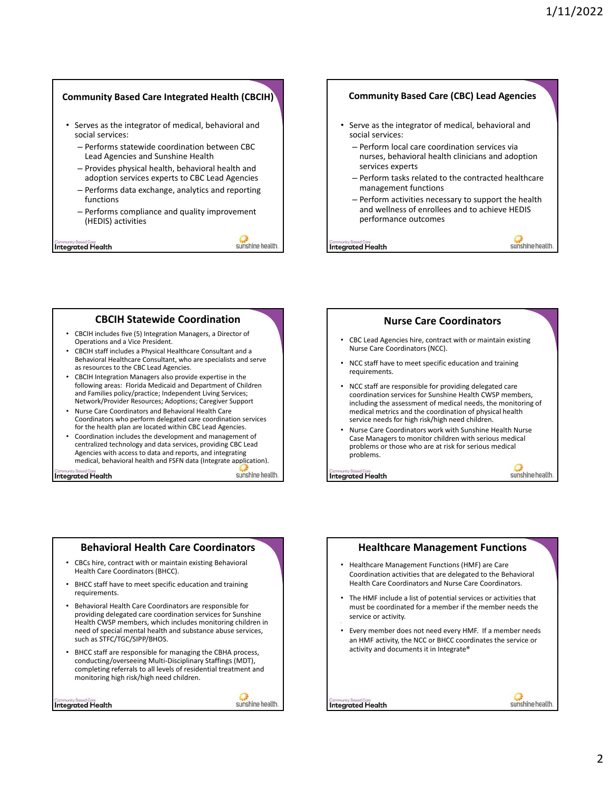## **Community Based Care Integrated Health (CBCIH)**

- Serves as the integrator of medical, behavioral and social services:
	- Performs statewide coordination between CBC Lead Agencies and Sunshine Health
	- Provides physical health, behavioral health and adoption services experts to CBC Lead Agencies
	- Performs data exchange, analytics and reporting functions
	- Performs compliance and quality improvement (HEDIS) activities

**Integrated Health** 

sunshine health

#### **Community Based Care (CBC) Lead Agencies**

- Serve as the integrator of medical, behavioral and social services:
	- Perform local care coordination services via nurses, behavioral health clinicians and adoption services experts
	- Perform tasks related to the contracted healthcare management functions
	- Perform activities necessary to support the health and wellness of enrollees and to achieve HEDIS performance outcomes

**Integrated Health** 

sunshine health.

sunshine health

## **CBCIH Statewide Coordination**

- CBCIH includes five (5) Integration Managers, a Director of Operations and a Vice President.
- CBCIH staff includes a Physical Healthcare Consultant and a Behavioral Healthcare Consultant, who are specialists and serve as resources to the CBC Lead Agencies.
- CBCIH Integration Managers also provide expertise in the following areas: Florida Medicaid and Department of Children and Families policy/practice; Independent Living Services; Network/Provider Resources; Adoptions; Caregiver Support
- Nurse Care Coordinators and Behavioral Health Care Coordinators who perform delegated care coordination services for the health plan are located within CBC Lead Agencies.
- Coordination includes the development and management of centralized technology and data services, providing CBC Lead Agencies with access to data and reports, and integrating medical, behavioral health and FSFN data (Integrate application).

**Integrated Health** 

sunshine health.



• Nurse Care Coordinators work with Sunshine Health Nurse Case Managers to monitor children with serious medical problems or those who are at risk for serious medical problems.

**Integrated Health** 

# **Behavioral Health Care Coordinators**

- CBCs hire, contract with or maintain existing Behavioral Health Care Coordinators (BHCC).
- BHCC staff have to meet specific education and training requirements.
- Behavioral Health Care Coordinators are responsible for providing delegated care coordination services for Sunshine Health CWSP members, which includes monitoring children in need of special mental health and substance abuse services, such as STFC/TGC/SIPP/BHOS.
- BHCC staff are responsible for managing the CBHA process, conducting/overseeing Multi‐Disciplinary Staffings (MDT), completing referrals to all levels of residential treatment and monitoring high risk/high need children.

**Integrated Health** 



# **Healthcare Management Functions**

- Healthcare Management Functions (HMF) are Care Coordination activities that are delegated to the Behavioral Health Care Coordinators and Nurse Care Coordinators.
- The HMF include a list of potential services or activities that must be coordinated for a member if the member needs the service or activity.
- Every member does not need every HMF. If a member needs an HMF activity, the NCC or BHCC coordinates the service or activity and documents it in Integrate®



**Integrated Health**